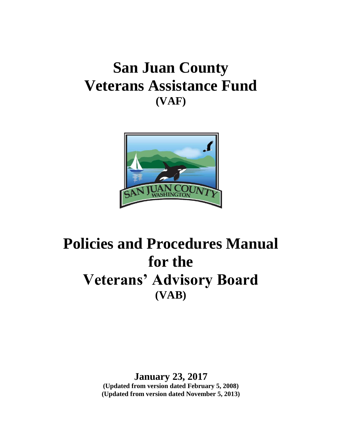# **San Juan County Veterans Assistance Fund (VAF)**



# **Policies and Procedures Manual for the Veterans' Advisory Board (VAB)**

**January 23, 2017 (Updated from version dated February 5, 2008) (Updated from version dated November 5, 2013)**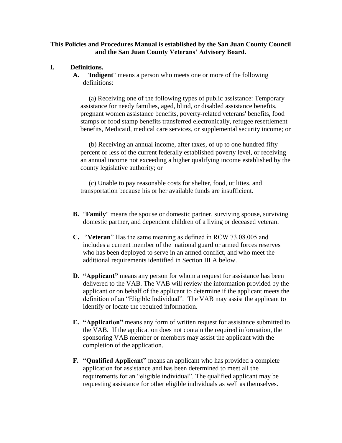#### **This Policies and Procedures Manual is established by the San Juan County Council and the San Juan County Veterans' Advisory Board.**

#### **I. Definitions.**

**A.** "**Indigent**" means a person who meets one or more of the following definitions:

 (a) Receiving one of the following types of public assistance: Temporary assistance for needy families, aged, blind, or disabled assistance benefits, pregnant women assistance benefits, poverty-related veterans' benefits, food stamps or food stamp benefits transferred electronically, refugee resettlement benefits, Medicaid, medical care services, or supplemental security income; or

 (b) Receiving an annual income, after taxes, of up to one hundred fifty percent or less of the current federally established poverty level, or receiving an annual income not exceeding a higher qualifying income established by the county legislative authority; or

 (c) Unable to pay reasonable costs for shelter, food, utilities, and transportation because his or her available funds are insufficient.

- **B.** "**Family**" means the spouse or domestic partner, surviving spouse, surviving domestic partner, and dependent children of a living or deceased veteran.
- **C.** "**Veteran**" Has the same meaning as defined in RCW 73.08.005 and includes a current member of the national guard or armed forces reserves who has been deployed to serve in an armed conflict, and who meet the additional requirements identified in Section III A below.
- **D. "Applicant"** means any person for whom a request for assistance has been delivered to the VAB. The VAB will review the information provided by the applicant or on behalf of the applicant to determine if the applicant meets the definition of an "Eligible Individual". The VAB may assist the applicant to identify or locate the required information.
- **E. "Application"** means any form of written request for assistance submitted to the VAB. If the application does not contain the required information, the sponsoring VAB member or members may assist the applicant with the completion of the application.
- **F. "Qualified Applicant"** means an applicant who has provided a complete application for assistance and has been determined to meet all the requirements for an "eligible individual". The qualified applicant may be requesting assistance for other eligible individuals as well as themselves.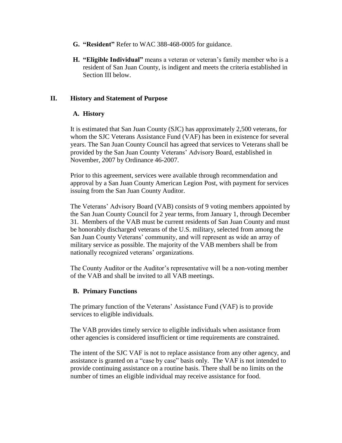- **G. "Resident"** Refer to WAC 388-468-0005 for guidance.
- **H. "Eligible Individual"** means a veteran or veteran's family member who is a resident of San Juan County, is indigent and meets the criteria established in Section III below.

#### **II. History and Statement of Purpose**

#### **A. History**

It is estimated that San Juan County (SJC) has approximately 2,500 veterans, for whom the SJC Veterans Assistance Fund (VAF) has been in existence for several years. The San Juan County Council has agreed that services to Veterans shall be provided by the San Juan County Veterans' Advisory Board, established in November, 2007 by Ordinance 46-2007.

Prior to this agreement, services were available through recommendation and approval by a San Juan County American Legion Post, with payment for services issuing from the San Juan County Auditor.

The Veterans' Advisory Board (VAB) consists of 9 voting members appointed by the San Juan County Council for 2 year terms, from January 1, through December 31. Members of the VAB must be current residents of San Juan County and must be honorably discharged veterans of the U.S. military, selected from among the San Juan County Veterans' community, and will represent as wide an array of military service as possible. The majority of the VAB members shall be from nationally recognized veterans' organizations.

The County Auditor or the Auditor's representative will be a non-voting member of the VAB and shall be invited to all VAB meetings.

#### **B. Primary Functions**

The primary function of the Veterans' Assistance Fund (VAF) is to provide services to eligible individuals.

The VAB provides timely service to eligible individuals when assistance from other agencies is considered insufficient or time requirements are constrained.

The intent of the SJC VAF is not to replace assistance from any other agency, and assistance is granted on a "case by case" basis only. The VAF is not intended to provide continuing assistance on a routine basis. There shall be no limits on the number of times an eligible individual may receive assistance for food.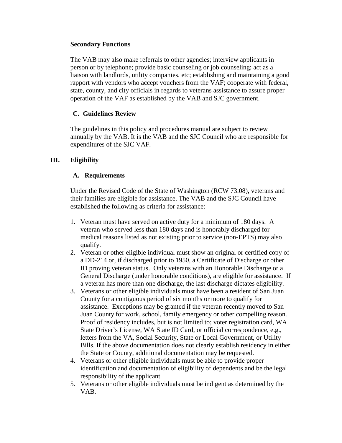#### **Secondary Functions**

The VAB may also make referrals to other agencies; interview applicants in person or by telephone; provide basic counseling or job counseling; act as a liaison with landlords, utility companies, etc; establishing and maintaining a good rapport with vendors who accept vouchers from the VAF; cooperate with federal, state, county, and city officials in regards to veterans assistance to assure proper operation of the VAF as established by the VAB and SJC government.

# **C. Guidelines Review**

The guidelines in this policy and procedures manual are subject to review annually by the VAB. It is the VAB and the SJC Council who are responsible for expenditures of the SJC VAF.

# **III. Eligibility**

# **A. Requirements**

Under the Revised Code of the State of Washington (RCW 73.08), veterans and their families are eligible for assistance. The VAB and the SJC Council have established the following as criteria for assistance:

- 1. Veteran must have served on active duty for a minimum of 180 days. A veteran who served less than 180 days and is honorably discharged for medical reasons listed as not existing prior to service (non-EPTS) may also qualify.
- 2. Veteran or other eligible individual must show an original or certified copy of a DD-214 or, if discharged prior to 1950, a Certificate of Discharge or other ID proving veteran status. Only veterans with an Honorable Discharge or a General Discharge (under honorable conditions), are eligible for assistance. If a veteran has more than one discharge, the last discharge dictates eligibility.
- 3. Veterans or other eligible individuals must have been a resident of San Juan County for a contiguous period of six months or more to qualify for assistance. Exceptions may be granted if the veteran recently moved to San Juan County for work, school, family emergency or other compelling reason*.* Proof of residency includes, but is not limited to; voter registration card, WA State Driver's License, WA State ID Card, or official correspondence, e.g., letters from the VA, Social Security, State or Local Government, or Utility Bills. If the above documentation does not clearly establish residency in either the State or County, additional documentation may be requested.
- 4. Veterans or other eligible individuals must be able to provide proper identification and documentation of eligibility of dependents and be the legal responsibility of the applicant.
- 5. Veterans or other eligible individuals must be indigent as determined by the VAB.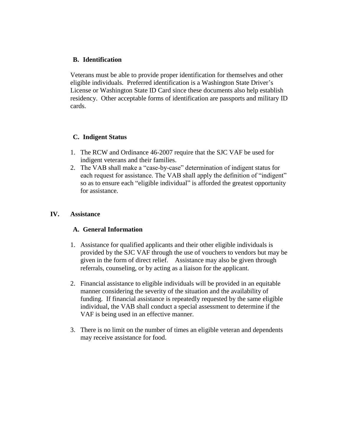#### **B. Identification**

Veterans must be able to provide proper identification for themselves and other eligible individuals. Preferred identification is a Washington State Driver's License or Washington State ID Card since these documents also help establish residency. Other acceptable forms of identification are passports and military ID cards.

#### **C. Indigent Status**

- 1. The RCW and Ordinance 46-2007 require that the SJC VAF be used for indigent veterans and their families.
- 2. The VAB shall make a "case-by-case" determination of indigent status for each request for assistance. The VAB shall apply the definition of "indigent" so as to ensure each "eligible individual" is afforded the greatest opportunity for assistance.

#### **IV. Assistance**

#### **A. General Information**

- 1. Assistance for qualified applicants and their other eligible individuals is provided by the SJC VAF through the use of vouchers to vendors but may be given in the form of direct relief. Assistance may also be given through referrals, counseling, or by acting as a liaison for the applicant.
- 2. Financial assistance to eligible individuals will be provided in an equitable manner considering the severity of the situation and the availability of funding. If financial assistance is repeatedly requested by the same eligible individual, the VAB shall conduct a special assessment to determine if the VAF is being used in an effective manner.
- 3. There is no limit on the number of times an eligible veteran and dependents may receive assistance for food.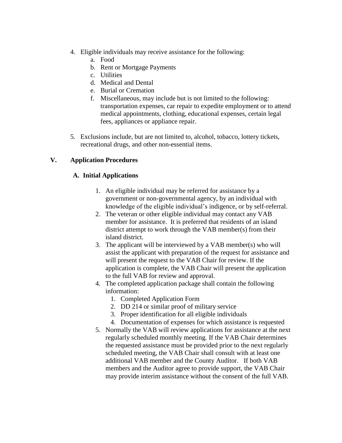- 4. Eligible individuals may receive assistance for the following:
	- a. Food
	- b. Rent or Mortgage Payments
	- c. Utilities
	- d. Medical and Dental
	- e. Burial or Cremation
	- f. Miscellaneous, may include but is not limited to the following: transportation expenses, car repair to expedite employment or to attend medical appointments, clothing, educational expenses, certain legal fees, appliances or appliance repair.
- 5. Exclusions include, but are not limited to, alcohol, tobacco, lottery tickets, recreational drugs, and other non-essential items.

# **V. Application Procedures**

#### **A. Initial Applications**

- 1. An eligible individual may be referred for assistance by a government or non-governmental agency, by an individual with knowledge of the eligible individual's indigence, or by self-referral.
- 2. The veteran or other eligible individual may contact any VAB member for assistance. It is preferred that residents of an island district attempt to work through the VAB member(s) from their island district.
- 3. The applicant will be interviewed by a VAB member(s) who will assist the applicant with preparation of the request for assistance and will present the request to the VAB Chair for review. If the application is complete, the VAB Chair will present the application to the full VAB for review and approval.
- 4. The completed application package shall contain the following information:
	- 1. Completed Application Form
	- 2. DD 214 or similar proof of military service
	- 3. Proper identification for all eligible individuals
	- 4. Documentation of expenses for which assistance is requested
- 5. Normally the VAB will review applications for assistance at the next regularly scheduled monthly meeting. If the VAB Chair determines the requested assistance must be provided prior to the next regularly scheduled meeting, the VAB Chair shall consult with at least one additional VAB member and the County Auditor. If both VAB members and the Auditor agree to provide support, the VAB Chair may provide interim assistance without the consent of the full VAB.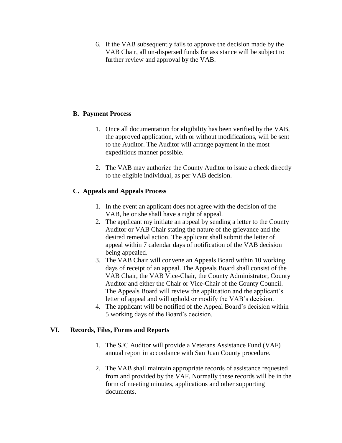6. If the VAB subsequently fails to approve the decision made by the VAB Chair, all un-dispersed funds for assistance will be subject to further review and approval by the VAB.

# **B. Payment Process**

- 1. Once all documentation for eligibility has been verified by the VAB, the approved application, with or without modifications, will be sent to the Auditor. The Auditor will arrange payment in the most expeditious manner possible.
- 2. The VAB may authorize the County Auditor to issue a check directly to the eligible individual, as per VAB decision.

# **C. Appeals and Appeals Process**

- 1. In the event an applicant does not agree with the decision of the VAB, he or she shall have a right of appeal.
- 2. The applicant my initiate an appeal by sending a letter to the County Auditor or VAB Chair stating the nature of the grievance and the desired remedial action. The applicant shall submit the letter of appeal within 7 calendar days of notification of the VAB decision being appealed.
- 3. The VAB Chair will convene an Appeals Board within 10 working days of receipt of an appeal. The Appeals Board shall consist of the VAB Chair, the VAB Vice-Chair, the County Administrator, County Auditor and either the Chair or Vice-Chair of the County Council. The Appeals Board will review the application and the applicant's letter of appeal and will uphold or modify the VAB's decision.
- 4. The applicant will be notified of the Appeal Board's decision within 5 working days of the Board's decision.

#### **VI. Records, Files, Forms and Reports**

- 1. The SJC Auditor will provide a Veterans Assistance Fund (VAF) annual report in accordance with San Juan County procedure.
- 2. The VAB shall maintain appropriate records of assistance requested from and provided by the VAF. Normally these records will be in the form of meeting minutes, applications and other supporting documents.